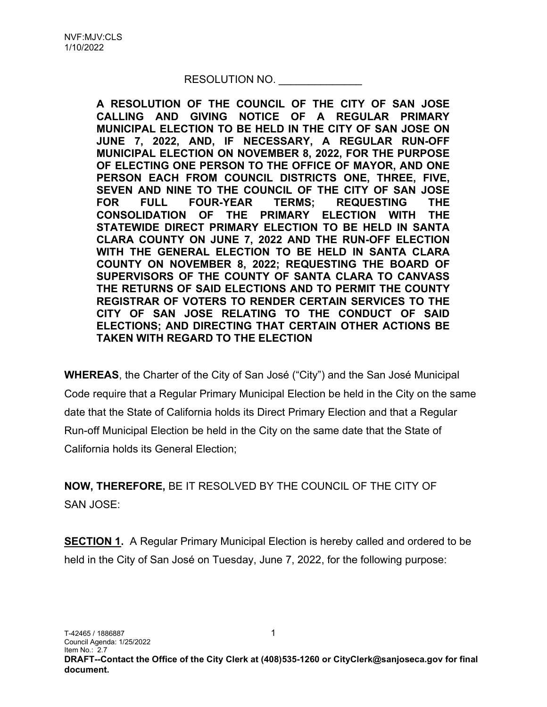## RESOLUTION NO.

A RESOLUTION OF THE COUNCIL OF THE CITY OF SAN JOSE CALLING AND GIVING NOTICE OF A REGULAR PRIMARY MUNICIPAL ELECTION TO BE HELD IN THE CITY OF SAN JOSE ON JUNE 7, 2022, AND, IF NECESSARY, A REGULAR RUN-OFF MUNICIPAL ELECTION ON NOVEMBER 8, 2022, FOR THE PURPOSE OF ELECTING ONE PERSON TO THE OFFICE OF MAYOR, AND ONE PERSON EACH FROM COUNCIL DISTRICTS ONE, THREE, FIVE, SEVEN AND NINE TO THE COUNCIL OF THE CITY OF SAN JOSE FOR FULL FOUR-YEAR TERMS; REQUESTING THE CONSOLIDATION OF THE PRIMARY ELECTION WITH THE STATEWIDE DIRECT PRIMARY ELECTION TO BE HELD IN SANTA CLARA COUNTY ON JUNE 7, 2022 AND THE RUN-OFF ELECTION WITH THE GENERAL ELECTION TO BE HELD IN SANTA CLARA COUNTY ON NOVEMBER 8, 2022; REQUESTING THE BOARD OF SUPERVISORS OF THE COUNTY OF SANTA CLARA TO CANVASS THE RETURNS OF SAID ELECTIONS AND TO PERMIT THE COUNTY REGISTRAR OF VOTERS TO RENDER CERTAIN SERVICES TO THE CITY OF SAN JOSE RELATING TO THE CONDUCT OF SAID ELECTIONS; AND DIRECTING THAT CERTAIN OTHER ACTIONS BE TAKEN WITH REGARD TO THE ELECTION

WHEREAS, the Charter of the City of San José ("City") and the San José Municipal Code require that a Regular Primary Municipal Election be held in the City on the same date that the State of California holds its Direct Primary Election and that a Regular Run-off Municipal Election be held in the City on the same date that the State of California holds its General Election;

NOW, THEREFORE, BE IT RESOLVED BY THE COUNCIL OF THE CITY OF SAN JOSE:

SECTION 1. A Regular Primary Municipal Election is hereby called and ordered to be held in the City of San José on Tuesday, June 7, 2022, for the following purpose: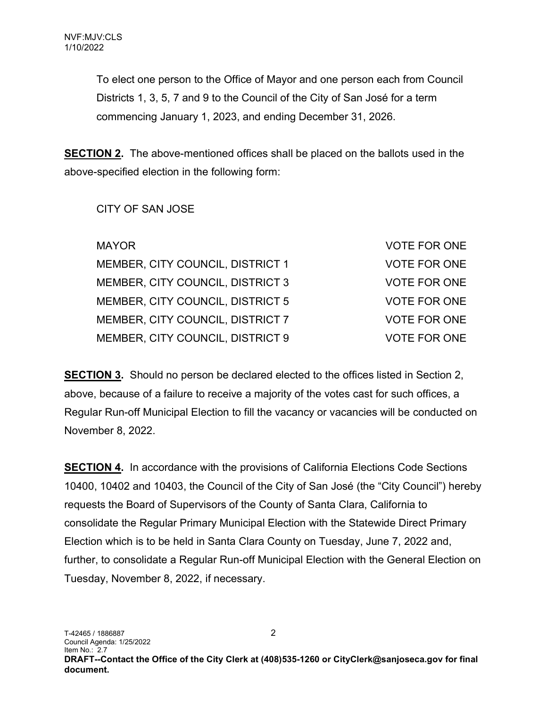To elect one person to the Office of Mayor and one person each from Council Districts 1, 3, 5, 7 and 9 to the Council of the City of San José for a term commencing January 1, 2023, and ending December 31, 2026.

SECTION 2. The above-mentioned offices shall be placed on the ballots used in the above-specified election in the following form:

CITY OF SAN JOSE

| <b>MAYOR</b>                     | <b>VOTE FOR ONE</b> |
|----------------------------------|---------------------|
| MEMBER, CITY COUNCIL, DISTRICT 1 | <b>VOTE FOR ONE</b> |
| MEMBER, CITY COUNCIL, DISTRICT 3 | <b>VOTE FOR ONE</b> |
| MEMBER, CITY COUNCIL, DISTRICT 5 | <b>VOTE FOR ONE</b> |
| MEMBER, CITY COUNCIL, DISTRICT 7 | <b>VOTE FOR ONE</b> |
| MEMBER, CITY COUNCIL, DISTRICT 9 | <b>VOTE FOR ONE</b> |

SECTION 3. Should no person be declared elected to the offices listed in Section 2, above, because of a failure to receive a majority of the votes cast for such offices, a Regular Run-off Municipal Election to fill the vacancy or vacancies will be conducted on November 8, 2022.

SECTION 4. In accordance with the provisions of California Elections Code Sections 10400, 10402 and 10403, the Council of the City of San José (the "City Council") hereby requests the Board of Supervisors of the County of Santa Clara, California to consolidate the Regular Primary Municipal Election with the Statewide Direct Primary Election which is to be held in Santa Clara County on Tuesday, June 7, 2022 and, further, to consolidate a Regular Run-off Municipal Election with the General Election on Tuesday, November 8, 2022, if necessary.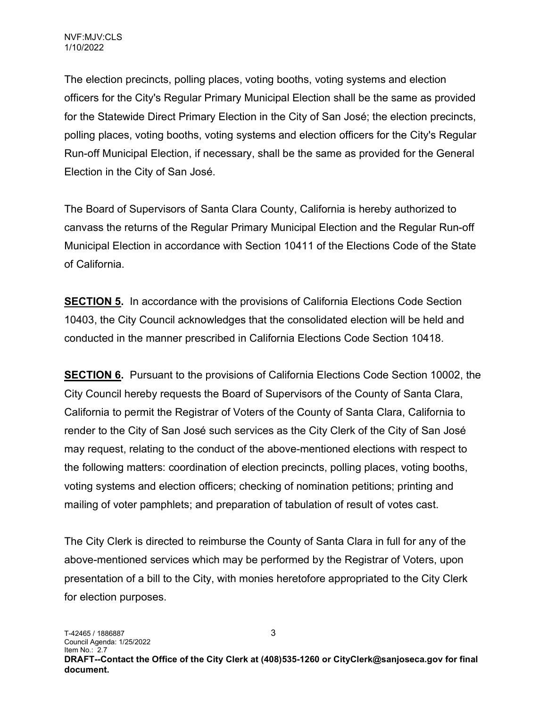The election precincts, polling places, voting booths, voting systems and election officers for the City's Regular Primary Municipal Election shall be the same as provided for the Statewide Direct Primary Election in the City of San José; the election precincts, polling places, voting booths, voting systems and election officers for the City's Regular Run-off Municipal Election, if necessary, shall be the same as provided for the General Election in the City of San José.

The Board of Supervisors of Santa Clara County, California is hereby authorized to canvass the returns of the Regular Primary Municipal Election and the Regular Run-off Municipal Election in accordance with Section 10411 of the Elections Code of the State of California.

**SECTION 5.** In accordance with the provisions of California Elections Code Section 10403, the City Council acknowledges that the consolidated election will be held and conducted in the manner prescribed in California Elections Code Section 10418.

**SECTION 6.** Pursuant to the provisions of California Elections Code Section 10002, the City Council hereby requests the Board of Supervisors of the County of Santa Clara, California to permit the Registrar of Voters of the County of Santa Clara, California to render to the City of San José such services as the City Clerk of the City of San José may request, relating to the conduct of the above-mentioned elections with respect to the following matters: coordination of election precincts, polling places, voting booths, voting systems and election officers; checking of nomination petitions; printing and mailing of voter pamphlets; and preparation of tabulation of result of votes cast.

The City Clerk is directed to reimburse the County of Santa Clara in full for any of the above-mentioned services which may be performed by the Registrar of Voters, upon presentation of a bill to the City, with monies heretofore appropriated to the City Clerk for election purposes.